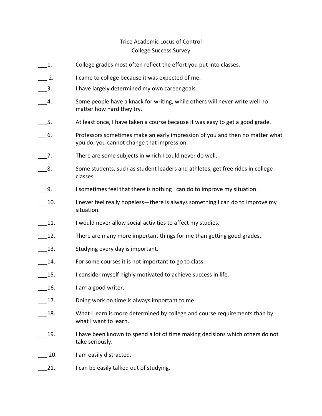## Trice Academic Locus of Control College Success Survey

- \_\_\_1. College grades most often reflect the effort you put into classes.
- 2. I came to college because it was expected of me.
- 3. I have largely determined my own career goals.
- 4. Some people have a knack for writing, while others will never write well no matter how hard they try.
- 5. At least once, I have taken a course because it was easy to get a good grade.
- \_\_\_6. Professors sometimes make an early impression of you and then no matter what you do, you cannot change that impression.
- 7. There are some subjects in which I could never do well.
- \_\_\_8. Some students, such as student leaders and athletes, get free rides in college classes.
- \_\_\_9. I sometimes feel that there is nothing I can do to improve my situation.
- 10. Inever feel really hopeless—there is always something I can do to improve my situation.
- 11. I would never allow social activities to affect my studies.
- 12. There are many more important things for me than getting good grades.
- 13. Studying every day is important.
- 14. For some courses it is not important to go to class.
- 15. I consider myself highly motivated to achieve success in life.
- 16. I am a good writer.
- 17. Doing work on time is always important to me.
- 18. What I learn is more determined by college and course requirements than by what I want to learn.
- \_\_\_19. I have been known to spend a lot of time making decisions which others do not take seriously.
- 20. I am easily distracted.
- 21. I can be easily talked out of studying.